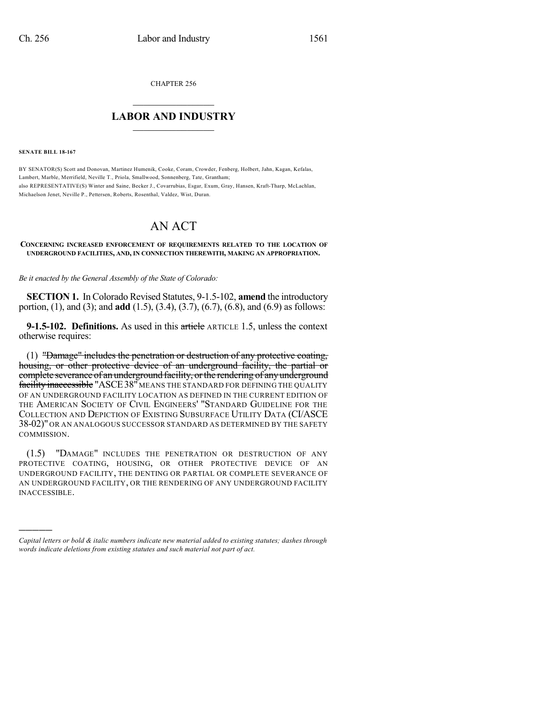CHAPTER 256

## $\overline{\phantom{a}}$  . The set of the set of the set of the set of the set of the set of the set of the set of the set of the set of the set of the set of the set of the set of the set of the set of the set of the set of the set o **LABOR AND INDUSTRY**  $\frac{1}{\sqrt{2}}$  ,  $\frac{1}{\sqrt{2}}$  ,  $\frac{1}{\sqrt{2}}$  ,  $\frac{1}{\sqrt{2}}$  ,  $\frac{1}{\sqrt{2}}$  ,  $\frac{1}{\sqrt{2}}$

**SENATE BILL 18-167**

)))))

BY SENATOR(S) Scott and Donovan, Martinez Humenik, Cooke, Coram, Crowder, Fenberg, Holbert, Jahn, Kagan, Kefalas, Lambert, Marble, Merrifield, Neville T., Priola, Smallwood, Sonnenberg, Tate, Grantham; also REPRESENTATIVE(S) Winter and Saine, Becker J., Covarrubias, Esgar, Exum, Gray, Hansen, Kraft-Tharp, McLachlan, Michaelson Jenet, Neville P., Pettersen, Roberts, Rosenthal, Valdez, Wist, Duran.

# AN ACT

#### **CONCERNING INCREASED ENFORCEMENT OF REQUIREMENTS RELATED TO THE LOCATION OF UNDERGROUND FACILITIES, AND, IN CONNECTION THEREWITH, MAKING AN APPROPRIATION.**

*Be it enacted by the General Assembly of the State of Colorado:*

**SECTION 1.** In Colorado Revised Statutes, 9-1.5-102, **amend** the introductory portion, (1), and (3); and **add** (1.5), (3.4), (3.7), (6.7), (6.8), and (6.9) as follows:

**9-1.5-102. Definitions.** As used in this article ARTICLE 1.5, unless the context otherwise requires:

(1) "Damage" includes the penetration or destruction of any protective coating, housing, or other protective device of an underground facility, the partial or complete severance of an underground facility, or the rendering of any underground facility inaccessible "ASCE 38" MEANS THE STANDARD FOR DEFINING THE QUALITY OF AN UNDERGROUND FACILITY LOCATION AS DEFINED IN THE CURRENT EDITION OF THE AMERICAN SOCIETY OF CIVIL ENGINEERS' "STANDARD GUIDELINE FOR THE COLLECTION AND DEPICTION OF EXISTING SUBSURFACE UTILITY DATA (CI/ASCE 38-02)" OR AN ANALOGOUS SUCCESSOR STANDARD AS DETERMINED BY THE SAFETY COMMISSION.

(1.5) "DAMAGE" INCLUDES THE PENETRATION OR DESTRUCTION OF ANY PROTECTIVE COATING, HOUSING, OR OTHER PROTECTIVE DEVICE OF AN UNDERGROUND FACILITY, THE DENTING OR PARTIAL OR COMPLETE SEVERANCE OF AN UNDERGROUND FACILITY, OR THE RENDERING OF ANY UNDERGROUND FACILITY INACCESSIBLE.

*Capital letters or bold & italic numbers indicate new material added to existing statutes; dashes through words indicate deletions from existing statutes and such material not part of act.*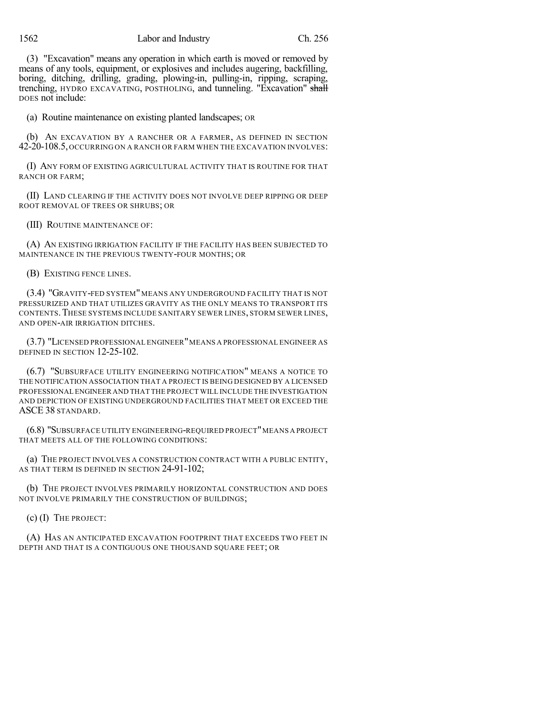1562 Labor and Industry Ch. 256

(3) "Excavation" means any operation in which earth is moved or removed by means of any tools, equipment, or explosives and includes augering, backfilling, boring, ditching, drilling, grading, plowing-in, pulling-in, ripping, scraping, trenching, HYDRO EXCAVATING, POSTHOLING, and tunneling. "Excavation" shall DOES not include:

(a) Routine maintenance on existing planted landscapes; OR

(b) AN EXCAVATION BY A RANCHER OR A FARMER, AS DEFINED IN SECTION 42-20-108.5, OCCURRING ON A RANCH OR FARM WHEN THE EXCAVATION INVOLVES:

(I) ANY FORM OF EXISTING AGRICULTURAL ACTIVITY THAT IS ROUTINE FOR THAT RANCH OR FARM;

(II) LAND CLEARING IF THE ACTIVITY DOES NOT INVOLVE DEEP RIPPING OR DEEP ROOT REMOVAL OF TREES OR SHRUBS; OR

(III) ROUTINE MAINTENANCE OF:

(A) AN EXISTING IRRIGATION FACILITY IF THE FACILITY HAS BEEN SUBJECTED TO MAINTENANCE IN THE PREVIOUS TWENTY-FOUR MONTHS; OR

(B) EXISTING FENCE LINES.

(3.4) "GRAVITY-FED SYSTEM" MEANS ANY UNDERGROUND FACILITY THAT IS NOT PRESSURIZED AND THAT UTILIZES GRAVITY AS THE ONLY MEANS TO TRANSPORT ITS CONTENTS.THESE SYSTEMS INCLUDE SANITARY SEWER LINES, STORM SEWER LINES, AND OPEN-AIR IRRIGATION DITCHES.

(3.7) "LICENSED PROFESSIONAL ENGINEER"MEANS A PROFESSIONAL ENGINEER AS DEFINED IN SECTION 12-25-102.

(6.7) "SUBSURFACE UTILITY ENGINEERING NOTIFICATION" MEANS A NOTICE TO THE NOTIFICATION ASSOCIATION THAT A PROJECT IS BEING DESIGNED BY A LICENSED PROFESSIONAL ENGINEER AND THAT THE PROJECT WILL INCLUDE THE INVESTIGATION AND DEPICTION OF EXISTING UNDERGROUND FACILITIES THAT MEET OR EXCEED THE ASCE 38 STANDARD.

(6.8) "SUBSURFACE UTILITY ENGINEERING-REQUIRED PROJECT"MEANS A PROJECT THAT MEETS ALL OF THE FOLLOWING CONDITIONS:

(a) THE PROJECT INVOLVES A CONSTRUCTION CONTRACT WITH A PUBLIC ENTITY, AS THAT TERM IS DEFINED IN SECTION 24-91-102:

(b) THE PROJECT INVOLVES PRIMARILY HORIZONTAL CONSTRUCTION AND DOES NOT INVOLVE PRIMARILY THE CONSTRUCTION OF BUILDINGS;

(c) (I) THE PROJECT:

(A) HAS AN ANTICIPATED EXCAVATION FOOTPRINT THAT EXCEEDS TWO FEET IN DEPTH AND THAT IS A CONTIGUOUS ONE THOUSAND SQUARE FEET; OR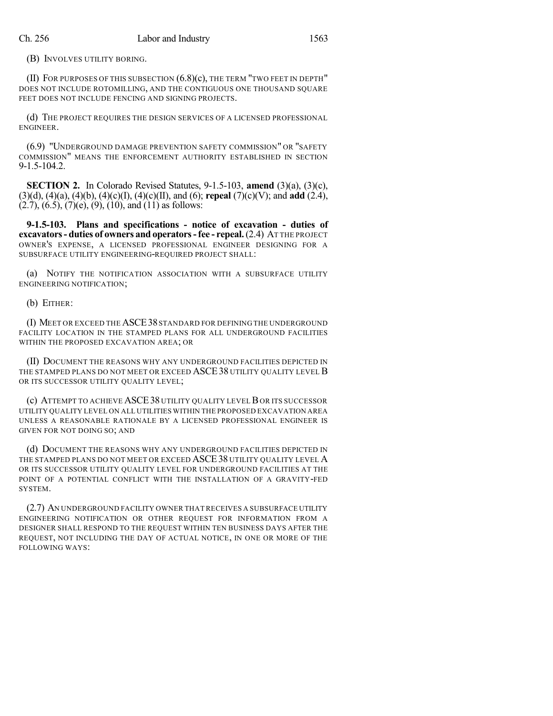(B) INVOLVES UTILITY BORING.

(II) FOR PURPOSES OF THIS SUBSECTION (6.8)(c), THE TERM "TWO FEET IN DEPTH" DOES NOT INCLUDE ROTOMILLING, AND THE CONTIGUOUS ONE THOUSAND SOUARE FEET DOES NOT INCLUDE FENCING AND SIGNING PROJECTS.

(d) THE PROJECT REQUIRES THE DESIGN SERVICES OF A LICENSED PROFESSIONAL ENGINEER.

(6.9) "UNDERGROUND DAMAGE PREVENTION SAFETY COMMISSION" OR "SAFETY COMMISSION" MEANS THE ENFORCEMENT AUTHORITY ESTABLISHED IN SECTION 9-1.5-104.2.

**SECTION 2.** In Colorado Revised Statutes, 9-1.5-103, **amend** (3)(a), (3)(c), (3)(d), (4)(a), (4)(b), (4)(c)(I), (4)(c)(II), and (6); **repeal** (7)(c)(V); and **add** (2.4),  $(2.7)$ ,  $(6.5)$ ,  $(7)$  $(e)$ ,  $(9)$ ,  $(10)$ , and  $(11)$  as follows:

**9-1.5-103. Plans and specifications - notice of excavation - duties of excavators- duties of owners and operators-fee - repeal.**(2.4) AT THE PROJECT OWNER'S EXPENSE, A LICENSED PROFESSIONAL ENGINEER DESIGNING FOR A SUBSURFACE UTILITY ENGINEERING-REQUIRED PROJECT SHALL:

(a) NOTIFY THE NOTIFICATION ASSOCIATION WITH A SUBSURFACE UTILITY ENGINEERING NOTIFICATION;

(b) EITHER:

(I) MEET OR EXCEED THE ASCE38 STANDARD FOR DEFINING THE UNDERGROUND FACILITY LOCATION IN THE STAMPED PLANS FOR ALL UNDERGROUND FACILITIES WITHIN THE PROPOSED EXCAVATION AREA; OR

(II) DOCUMENT THE REASONS WHY ANY UNDERGROUND FACILITIES DEPICTED IN THE STAMPED PLANS DO NOT MEET OR EXCEED ASCE 38 UTILITY QUALITY LEVEL B OR ITS SUCCESSOR UTILITY QUALITY LEVEL;

(c) ATTEMPT TO ACHIEVE ASCE38 UTILITY QUALITY LEVELB OR ITS SUCCESSOR UTILITY QUALITY LEVEL ON ALL UTILITIES WITHIN THE PROPOSED EXCAVATION AREA UNLESS A REASONABLE RATIONALE BY A LICENSED PROFESSIONAL ENGINEER IS GIVEN FOR NOT DOING SO; AND

(d) DOCUMENT THE REASONS WHY ANY UNDERGROUND FACILITIES DEPICTED IN THE STAMPED PLANS DO NOT MEET OR EXCEED ASCE38 UTILITY QUALITY LEVEL A OR ITS SUCCESSOR UTILITY QUALITY LEVEL FOR UNDERGROUND FACILITIES AT THE POINT OF A POTENTIAL CONFLICT WITH THE INSTALLATION OF A GRAVITY-FED SYSTEM.

(2.7) AN UNDERGROUND FACILITY OWNER THAT RECEIVES A SUBSURFACE UTILITY ENGINEERING NOTIFICATION OR OTHER REQUEST FOR INFORMATION FROM A DESIGNER SHALL RESPOND TO THE REQUEST WITHIN TEN BUSINESS DAYS AFTER THE REQUEST, NOT INCLUDING THE DAY OF ACTUAL NOTICE, IN ONE OR MORE OF THE FOLLOWING WAYS: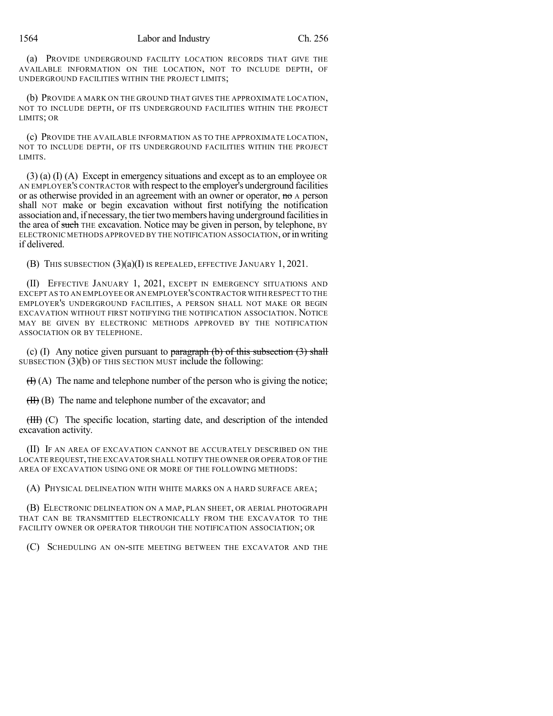(a) PROVIDE UNDERGROUND FACILITY LOCATION RECORDS THAT GIVE THE AVAILABLE INFORMATION ON THE LOCATION, NOT TO INCLUDE DEPTH, OF UNDERGROUND FACILITIES WITHIN THE PROJECT LIMITS;

(b) PROVIDE A MARK ON THE GROUND THAT GIVES THE APPROXIMATE LOCATION, NOT TO INCLUDE DEPTH, OF ITS UNDERGROUND FACILITIES WITHIN THE PROJECT LIMITS; OR

(c) PROVIDE THE AVAILABLE INFORMATION AS TO THE APPROXIMATE LOCATION, NOT TO INCLUDE DEPTH, OF ITS UNDERGROUND FACILITIES WITHIN THE PROJECT LIMITS.

(3) (a) (I) (A) Except in emergency situations and except as to an employee OR AN EMPLOYER'S CONTRACTOR with respect to the employer's underground facilities or as otherwise provided in an agreement with an owner or operator, no A person shall NOT make or begin excavation without first notifying the notification association and, if necessary, the tier two members having underground facilities in the area of such THE excavation. Notice may be given in person, by telephone, BY ELECTRONIC METHODS APPROVED BY THE NOTIFICATION ASSOCIATION, or in writing if delivered.

(B) THIS SUBSECTION (3)(a)(I) IS REPEALED, EFFECTIVE JANUARY 1, 2021.

(II) EFFECTIVE JANUARY 1, 2021, EXCEPT IN EMERGENCY SITUATIONS AND EXCEPT AS TO AN EMPLOYEE OR AN EMPLOYER'S CONTRACTOR WITH RESPECT TO THE EMPLOYER'S UNDERGROUND FACILITIES, A PERSON SHALL NOT MAKE OR BEGIN EXCAVATION WITHOUT FIRST NOTIFYING THE NOTIFICATION ASSOCIATION. NOTICE MAY BE GIVEN BY ELECTRONIC METHODS APPROVED BY THE NOTIFICATION ASSOCIATION OR BY TELEPHONE.

(c) (I) Any notice given pursuant to paragraph (b) of this subsection  $(3)$  shall SUBSECTION (3)(b) OF THIS SECTION MUST include the following:

 $(H(A))$  The name and telephone number of the person who is giving the notice;

(II) (B) The name and telephone number of the excavator; and

(III) (C) The specific location, starting date, and description of the intended excavation activity.

(II) IF AN AREA OF EXCAVATION CANNOT BE ACCURATELY DESCRIBED ON THE LOCATE REQUEST,THE EXCAVATOR SHALL NOTIFY THE OWNER OR OPERATOR OF THE AREA OF EXCAVATION USING ONE OR MORE OF THE FOLLOWING METHODS:

(A) PHYSICAL DELINEATION WITH WHITE MARKS ON A HARD SURFACE AREA;

(B) ELECTRONIC DELINEATION ON A MAP, PLAN SHEET, OR AERIAL PHOTOGRAPH THAT CAN BE TRANSMITTED ELECTRONICALLY FROM THE EXCAVATOR TO THE FACILITY OWNER OR OPERATOR THROUGH THE NOTIFICATION ASSOCIATION; OR

(C) SCHEDULING AN ON-SITE MEETING BETWEEN THE EXCAVATOR AND THE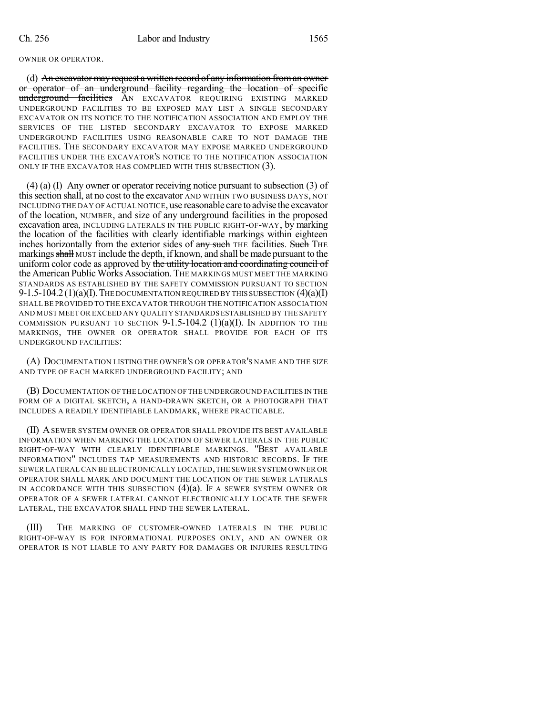### OWNER OR OPERATOR.

(d) An excavator may request a written record of any information froman owner or operator of an underground facility regarding the location of specific underground facilities AN EXCAVATOR REQUIRING EXISTING MARKED UNDERGROUND FACILITIES TO BE EXPOSED MAY LIST A SINGLE SECONDARY EXCAVATOR ON ITS NOTICE TO THE NOTIFICATION ASSOCIATION AND EMPLOY THE SERVICES OF THE LISTED SECONDARY EXCAVATOR TO EXPOSE MARKED UNDERGROUND FACILITIES USING REASONABLE CARE TO NOT DAMAGE THE FACILITIES. THE SECONDARY EXCAVATOR MAY EXPOSE MARKED UNDERGROUND FACILITIES UNDER THE EXCAVATOR'S NOTICE TO THE NOTIFICATION ASSOCIATION ONLY IF THE EXCAVATOR HAS COMPLIED WITH THIS SUBSECTION (3).

(4) (a) (I) Any owner or operator receiving notice pursuant to subsection (3) of thissection shall, at no cost to the excavator AND WITHIN TWO BUSINESS DAYS, NOT INCLUDING THE DAY OF ACTUAL NOTICE, use reasonable care to advise the excavator of the location, NUMBER, and size of any underground facilities in the proposed excavation area, INCLUDING LATERALS IN THE PUBLIC RIGHT-OF-WAY, by marking the location of the facilities with clearly identifiable markings within eighteen inches horizontally from the exterior sides of any such THE facilities. Such THE markings shall MUST include the depth, if known, and shall be made pursuant to the uniform color code as approved by the utility location and coordinating council of the American Public Works Association. THE MARKINGS MUST MEET THE MARKING STANDARDS AS ESTABLISHED BY THE SAFETY COMMISSION PURSUANT TO SECTION 9-1.5-104.2 (1)(a)(I). THE DOCUMENTATION REQUIRED BY THIS SUBSECTION  $(4)(a)(I)$ SHALLBE PROVIDED TO THE EXCAVATOR THROUGH THE NOTIFICATION ASSOCIATION AND MUST MEET OR EXCEED ANY QUALITY STANDARDS ESTABLISHED BY THE SAFETY COMMISSION PURSUANT TO SECTION  $9-1.5-104.2$  (1)(a)(I). In addition to the MARKINGS, THE OWNER OR OPERATOR SHALL PROVIDE FOR EACH OF ITS UNDERGROUND FACILITIES:

(A) DOCUMENTATION LISTING THE OWNER'S OR OPERATOR'S NAME AND THE SIZE AND TYPE OF EACH MARKED UNDERGROUND FACILITY; AND

(B) DOCUMENTATION OF THE LOCATION OF THE UNDERGROUND FACILITIES IN THE FORM OF A DIGITAL SKETCH, A HAND-DRAWN SKETCH, OR A PHOTOGRAPH THAT INCLUDES A READILY IDENTIFIABLE LANDMARK, WHERE PRACTICABLE.

(II) ASEWER SYSTEM OWNER OR OPERATOR SHALL PROVIDE ITS BEST AVAILABLE INFORMATION WHEN MARKING THE LOCATION OF SEWER LATERALS IN THE PUBLIC RIGHT-OF-WAY WITH CLEARLY IDENTIFIABLE MARKINGS. "BEST AVAILABLE INFORMATION" INCLUDES TAP MEASUREMENTS AND HISTORIC RECORDS. IF THE SEWER LATERAL CAN BE ELECTRONICALLY LOCATED,THE SEWER SYSTEM OWNER OR OPERATOR SHALL MARK AND DOCUMENT THE LOCATION OF THE SEWER LATERALS IN ACCORDANCE WITH THIS SUBSECTION  $(4)(a)$ . If a sewer system owner or OPERATOR OF A SEWER LATERAL CANNOT ELECTRONICALLY LOCATE THE SEWER LATERAL, THE EXCAVATOR SHALL FIND THE SEWER LATERAL.

(III) THE MARKING OF CUSTOMER-OWNED LATERALS IN THE PUBLIC RIGHT-OF-WAY IS FOR INFORMATIONAL PURPOSES ONLY, AND AN OWNER OR OPERATOR IS NOT LIABLE TO ANY PARTY FOR DAMAGES OR INJURIES RESULTING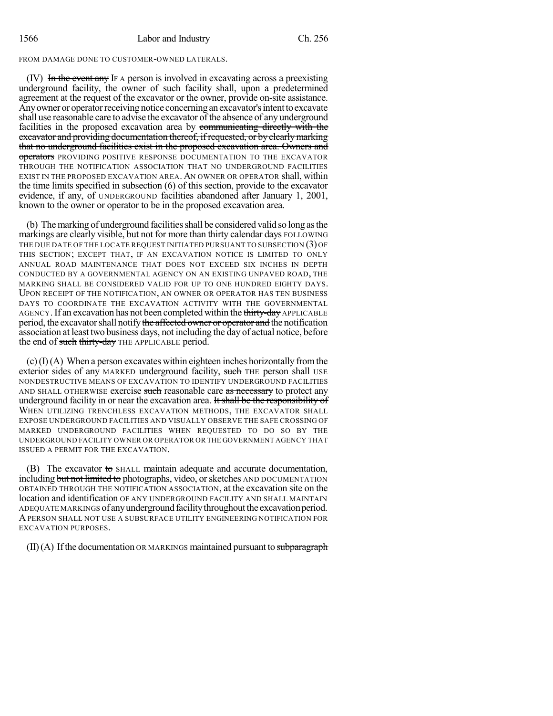## FROM DAMAGE DONE TO CUSTOMER-OWNED LATERALS.

(IV) In the event any IF A person is involved in excavating across a preexisting underground facility, the owner of such facility shall, upon a predetermined agreement at the request of the excavator or the owner, provide on-site assistance. Any owner or operator receiving notice concerning an excavator's intent to excavate shall use reasonable care to advise the excavator of the absence of any underground facilities in the proposed excavation area by communicating directly with the excavator and providing documentation thereof, if requested, or by clearly marking that no underground facilities exist in the proposed excavation area. Owners and operators PROVIDING POSITIVE RESPONSE DOCUMENTATION TO THE EXCAVATOR THROUGH THE NOTIFICATION ASSOCIATION THAT NO UNDERGROUND FACILITIES EXIST IN THE PROPOSED EXCAVATION AREA.AN OWNER OR OPERATOR shall, within the time limits specified in subsection (6) of this section, provide to the excavator evidence, if any, of UNDERGROUND facilities abandoned after January 1, 2001, known to the owner or operator to be in the proposed excavation area.

(b) The marking of underground facilities shall be considered valid so long as the markings are clearly visible, but not for more than thirty calendar days FOLLOWING THE DUE DATE OF THE LOCATE REQUEST INITIATED PURSUANT TO SUBSECTION (3) OF THIS SECTION; EXCEPT THAT, IF AN EXCAVATION NOTICE IS LIMITED TO ONLY ANNUAL ROAD MAINTENANCE THAT DOES NOT EXCEED SIX INCHES IN DEPTH CONDUCTED BY A GOVERNMENTAL AGENCY ON AN EXISTING UNPAVED ROAD, THE MARKING SHALL BE CONSIDERED VALID FOR UP TO ONE HUNDRED EIGHTY DAYS. UPON RECEIPT OF THE NOTIFICATION, AN OWNER OR OPERATOR HAS TEN BUSINESS DAYS TO COORDINATE THE EXCAVATION ACTIVITY WITH THE GOVERNMENTAL AGENCY. If an excavation has not been completed within the thirty-day APPLICABLE period, the excavator shall notify the affected owner or operator and the notification association at least two business days, not including the day of actual notice, before the end of such thirty-day THE APPLICABLE period.

 $(c)$  (I)(A) When a person excavates within eighteen inches horizontally from the exterior sides of any MARKED underground facility, such THE person shall USE NONDESTRUCTIVE MEANS OF EXCAVATION TO IDENTIFY UNDERGROUND FACILITIES AND SHALL OTHERWISE exercise such reasonable care as necessary to protect any underground facility in or near the excavation area. It shall be the responsibility of WHEN UTILIZING TRENCHLESS EXCAVATION METHODS, THE EXCAVATOR SHALL EXPOSE UNDERGROUND FACILITIES AND VISUALLY OBSERVE THE SAFE CROSSING OF MARKED UNDERGROUND FACILITIES WHEN REQUESTED TO DO SO BY THE UNDERGROUND FACILITY OWNER OR OPERATOR OR THE GOVERNMENT AGENCY THAT ISSUED A PERMIT FOR THE EXCAVATION.

(B) The excavator to SHALL maintain adequate and accurate documentation, including but not limited to photographs, video, or sketches AND DOCUMENTATION OBTAINED THROUGH THE NOTIFICATION ASSOCIATION, at the excavation site on the location and identification OF ANY UNDERGROUND FACILITY AND SHALL MAINTAIN ADEQUATE MARKINGS of any underground facility throughout the excavation period. APERSON SHALL NOT USE A SUBSURFACE UTILITY ENGINEERING NOTIFICATION FOR EXCAVATION PURPOSES.

 $(II)(A)$  If the documentation OR MARKINGS maintained pursuant to subparagraph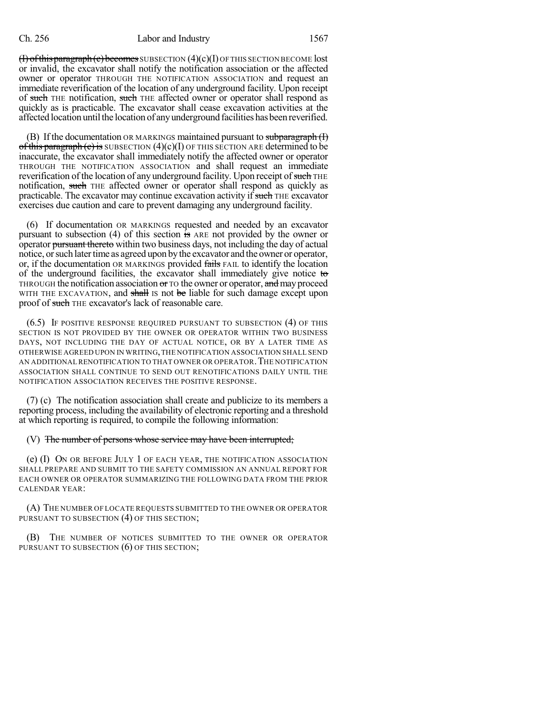$(f)$  of this paragraph  $(e)$  becomes SUBSECTION  $(4)(c)(I)$  OF THIS SECTION BECOME lost or invalid, the excavator shall notify the notification association or the affected owner or operator THROUGH THE NOTIFICATION ASSOCIATION and request an immediate reverification of the location of any underground facility. Upon receipt of such THE notification, such THE affected owner or operator shall respond as quickly as is practicable. The excavator shall cease excavation activities at the affected location until the location of any underground facilities has been reverified.

(B) If the documentation OR MARKINGS maintained pursuant to subparagraph  $(H)$ of this paragraph  $(c)$  is SUBSECTION  $(4)(c)(I)$  OF THIS SECTION ARE determined to be inaccurate, the excavator shall immediately notify the affected owner or operator THROUGH THE NOTIFICATION ASSOCIATION and shall request an immediate reverification of the location of any underground facility. Upon receipt of such THE notification, such THE affected owner or operator shall respond as quickly as practicable. The excavator may continue excavation activity if such THE excavator exercises due caution and care to prevent damaging any underground facility.

(6) If documentation OR MARKINGS requested and needed by an excavator pursuant to subsection (4) of this section is ARE not provided by the owner or operator pursuant thereto within two business days, not including the day of actual notice, or such later time as agreed upon by the excavator and the owner or operator, or, if the documentation OR MARKINGS provided fails FAIL to identify the location of the underground facilities, the excavator shall immediately give notice to THROUGH the notification association or TO the owner or operator, and may proceed WITH THE EXCAVATION, and shall IS not be liable for such damage except upon proof of such THE excavator's lack of reasonable care.

(6.5) IF POSITIVE RESPONSE REQUIRED PURSUANT TO SUBSECTION (4) OF THIS SECTION IS NOT PROVIDED BY THE OWNER OR OPERATOR WITHIN TWO BUSINESS DAYS, NOT INCLUDING THE DAY OF ACTUAL NOTICE, OR BY A LATER TIME AS OTHERWISE AGREED UPON IN WRITING,THE NOTIFICATION ASSOCIATION SHALL SEND AN ADDITIONAL RENOTIFICATION TO THAT OWNER OR OPERATOR.THE NOTIFICATION ASSOCIATION SHALL CONTINUE TO SEND OUT RENOTIFICATIONS DAILY UNTIL THE NOTIFICATION ASSOCIATION RECEIVES THE POSITIVE RESPONSE.

(7) (c) The notification association shall create and publicize to its members a reporting process, including the availability of electronic reporting and a threshold at which reporting is required, to compile the following information:

### (V) The number of persons whose service may have been interrupted;

(e)  $(I)$  On or before July 1 of each year, the notification association SHALL PREPARE AND SUBMIT TO THE SAFETY COMMISSION AN ANNUAL REPORT FOR EACH OWNER OR OPERATOR SUMMARIZING THE FOLLOWING DATA FROM THE PRIOR CALENDAR YEAR:

(A) THE NUMBER OF LOCATE REQUESTS SUBMITTED TO THE OWNER OR OPERATOR PURSUANT TO SUBSECTION (4) OF THIS SECTION;

(B) THE NUMBER OF NOTICES SUBMITTED TO THE OWNER OR OPERATOR PURSUANT TO SUBSECTION (6) OF THIS SECTION;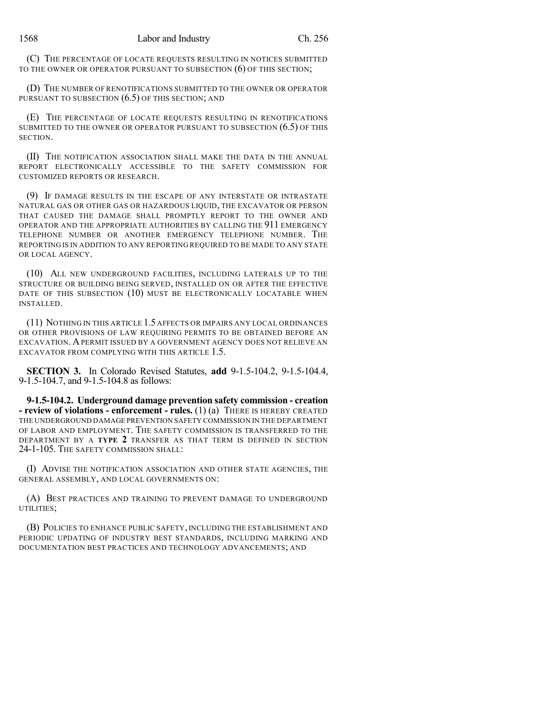(C) THE PERCENTAGE OF LOCATE REQUESTS RESULTING IN NOTICES SUBMITTED TO THE OWNER OR OPERATOR PURSUANT TO SUBSECTION (6) OF THIS SECTION;

(D) THE NUMBER OF RENOTIFICATIONS SUBMITTED TO THE OWNER OR OPERATOR PURSUANT TO SUBSECTION  $(6.5)$  OF THIS SECTION; AND

(E) THE PERCENTAGE OF LOCATE REQUESTS RESULTING IN RENOTIFICATIONS SUBMITTED TO THE OWNER OR OPERATOR PURSUANT TO SUBSECTION (6.5) OF THIS SECTION.

(II) THE NOTIFICATION ASSOCIATION SHALL MAKE THE DATA IN THE ANNUAL REPORT ELECTRONICALLY ACCESSIBLE TO THE SAFETY COMMISSION FOR CUSTOMIZED REPORTS OR RESEARCH.

(9) IF DAMAGE RESULTS IN THE ESCAPE OF ANY INTERSTATE OR INTRASTATE NATURAL GAS OR OTHER GAS OR HAZARDOUS LIQUID, THE EXCAVATOR OR PERSON THAT CAUSED THE DAMAGE SHALL PROMPTLY REPORT TO THE OWNER AND OPERATOR AND THE APPROPRIATE AUTHORITIES BY CALLING THE 911 EMERGENCY TELEPHONE NUMBER OR ANOTHER EMERGENCY TELEPHONE NUMBER. THE REPORTING IS IN ADDITION TO ANY REPORTING REQUIRED TO BE MADE TO ANY STATE OR LOCAL AGENCY.

(10) ALL NEW UNDERGROUND FACILITIES, INCLUDING LATERALS UP TO THE STRUCTURE OR BUILDING BEING SERVED, INSTALLED ON OR AFTER THE EFFECTIVE DATE OF THIS SUBSECTION (10) MUST BE ELECTRONICALLY LOCATABLE WHEN INSTALLED.

(11) NOTHING IN THIS ARTICLE 1.5 AFFECTS OR IMPAIRS ANY LOCAL ORDINANCES OR OTHER PROVISIONS OF LAW REQUIRING PERMITS TO BE OBTAINED BEFORE AN EXCAVATION.APERMIT ISSUED BY A GOVERNMENT AGENCY DOES NOT RELIEVE AN EXCAVATOR FROM COMPLYING WITH THIS ARTICLE 1.5.

**SECTION 3.** In Colorado Revised Statutes, **add** 9-1.5-104.2, 9-1.5-104.4, 9-1.5-104.7, and 9-1.5-104.8 as follows:

**9-1.5-104.2. Underground damage prevention safety commission - creation - review of violations - enforcement - rules.** (1) (a) THERE IS HEREBY CREATED THE UNDERGROUND DAMAGE PREVENTION SAFETY COMMISSION IN THE DEPARTMENT OF LABOR AND EMPLOYMENT. THE SAFETY COMMISSION IS TRANSFERRED TO THE DEPARTMENT BY A **TYPE 2** TRANSFER AS THAT TERM IS DEFINED IN SECTION 24-1-105. THE SAFETY COMMISSION SHALL:

(I) ADVISE THE NOTIFICATION ASSOCIATION AND OTHER STATE AGENCIES, THE GENERAL ASSEMBLY, AND LOCAL GOVERNMENTS ON:

(A) BEST PRACTICES AND TRAINING TO PREVENT DAMAGE TO UNDERGROUND UTILITIES;

(B) POLICIES TO ENHANCE PUBLIC SAFETY, INCLUDING THE ESTABLISHMENT AND PERIODIC UPDATING OF INDUSTRY BEST STANDARDS, INCLUDING MARKING AND DOCUMENTATION BEST PRACTICES AND TECHNOLOGY ADVANCEMENTS; AND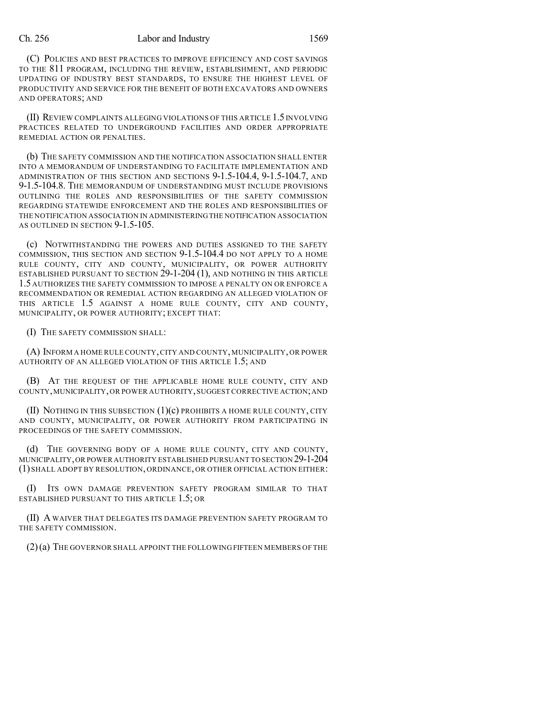### Ch. 256 Labor and Industry 1569

(C) POLICIES AND BEST PRACTICES TO IMPROVE EFFICIENCY AND COST SAVINGS TO THE 811 PROGRAM, INCLUDING THE REVIEW, ESTABLISHMENT, AND PERIODIC UPDATING OF INDUSTRY BEST STANDARDS, TO ENSURE THE HIGHEST LEVEL OF PRODUCTIVITY AND SERVICE FOR THE BENEFIT OF BOTH EXCAVATORS AND OWNERS AND OPERATORS; AND

(II) REVIEW COMPLAINTS ALLEGING VIOLATIONS OF THIS ARTICLE 1.5 INVOLVING PRACTICES RELATED TO UNDERGROUND FACILITIES AND ORDER APPROPRIATE REMEDIAL ACTION OR PENALTIES.

(b) THE SAFETY COMMISSION AND THE NOTIFICATION ASSOCIATION SHALL ENTER INTO A MEMORANDUM OF UNDERSTANDING TO FACILITATE IMPLEMENTATION AND ADMINISTRATION OF THIS SECTION AND SECTIONS 9-1.5-104.4, 9-1.5-104.7, AND 9-1.5-104.8. THE MEMORANDUM OF UNDERSTANDING MUST INCLUDE PROVISIONS OUTLINING THE ROLES AND RESPONSIBILITIES OF THE SAFETY COMMISSION REGARDING STATEWIDE ENFORCEMENT AND THE ROLES AND RESPONSIBILITIES OF THE NOTIFICATION ASSOCIATION IN ADMINISTERINGTHE NOTIFICATION ASSOCIATION AS OUTLINED IN SECTION 9-1.5-105.

(c) NOTWITHSTANDING THE POWERS AND DUTIES ASSIGNED TO THE SAFETY COMMISSION, THIS SECTION AND SECTION 9-1.5-104.4 DO NOT APPLY TO A HOME RULE COUNTY, CITY AND COUNTY, MUNICIPALITY, OR POWER AUTHORITY ESTABLISHED PURSUANT TO SECTION  $29$ -1-204 (1), and nothing in this article 1.5 AUTHORIZES THE SAFETY COMMISSION TO IMPOSE A PENALTY ON OR ENFORCE A RECOMMENDATION OR REMEDIAL ACTION REGARDING AN ALLEGED VIOLATION OF THIS ARTICLE 1.5 AGAINST A HOME RULE COUNTY, CITY AND COUNTY, MUNICIPALITY, OR POWER AUTHORITY; EXCEPT THAT:

(I) THE SAFETY COMMISSION SHALL:

(A) INFORM A HOME RULE COUNTY,CITY AND COUNTY, MUNICIPALITY, OR POWER AUTHORITY OF AN ALLEGED VIOLATION OF THIS ARTICLE 1.5; AND

(B) AT THE REQUEST OF THE APPLICABLE HOME RULE COUNTY, CITY AND COUNTY,MUNICIPALITY,OR POWER AUTHORITY,SUGGEST CORRECTIVE ACTION;AND

(II) NOTHING IN THIS SUBSECTION (1)(c) PROHIBITS A HOME RULE COUNTY, CITY AND COUNTY, MUNICIPALITY, OR POWER AUTHORITY FROM PARTICIPATING IN PROCEEDINGS OF THE SAFETY COMMISSION.

(d) THE GOVERNING BODY OF A HOME RULE COUNTY, CITY AND COUNTY, MUNICIPALITY,OR POWER AUTHORITY ESTABLISHED PURSUANT TO SECTION 29-1-204 (1) SHALL ADOPT BY RESOLUTION, ORDINANCE, OR OTHER OFFICIAL ACTION EITHER:

(I) ITS OWN DAMAGE PREVENTION SAFETY PROGRAM SIMILAR TO THAT ESTABLISHED PURSUANT TO THIS ARTICLE 1.5; OR

(II) A WAIVER THAT DELEGATES ITS DAMAGE PREVENTION SAFETY PROGRAM TO THE SAFETY COMMISSION.

(2)(a) THE GOVERNOR SHALL APPOINT THE FOLLOWING FIFTEEN MEMBERS OF THE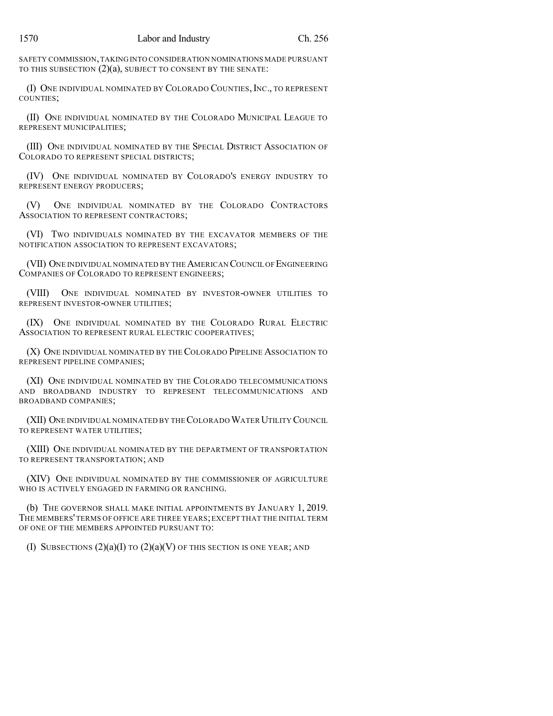SAFETY COMMISSION,TAKING INTO CONSIDERATION NOMINATIONS MADE PURSUANT TO THIS SUBSECTION (2)(a), SUBJECT TO CONSENT BY THE SENATE:

(I) ONE INDIVIDUAL NOMINATED BY COLORADO COUNTIES, INC., TO REPRESENT COUNTIES;

(II) ONE INDIVIDUAL NOMINATED BY THE COLORADO MUNICIPAL LEAGUE TO REPRESENT MUNICIPALITIES;

(III) ONE INDIVIDUAL NOMINATED BY THE SPECIAL DISTRICT ASSOCIATION OF COLORADO TO REPRESENT SPECIAL DISTRICTS;

(IV) ONE INDIVIDUAL NOMINATED BY COLORADO'S ENERGY INDUSTRY TO REPRESENT ENERGY PRODUCERS;

(V) ONE INDIVIDUAL NOMINATED BY THE COLORADO CONTRACTORS ASSOCIATION TO REPRESENT CONTRACTORS;

(VI) TWO INDIVIDUALS NOMINATED BY THE EXCAVATOR MEMBERS OF THE NOTIFICATION ASSOCIATION TO REPRESENT EXCAVATORS;

(VII) ONE INDIVIDUAL NOMINATED BY THE AMERICAN COUNCIL OF ENGINEERING COMPANIES OF COLORADO TO REPRESENT ENGINEERS;

(VIII) ONE INDIVIDUAL NOMINATED BY INVESTOR-OWNER UTILITIES TO REPRESENT INVESTOR-OWNER UTILITIES;

(IX) ONE INDIVIDUAL NOMINATED BY THE COLORADO RURAL ELECTRIC ASSOCIATION TO REPRESENT RURAL ELECTRIC COOPERATIVES;

(X) ONE INDIVIDUAL NOMINATED BY THE COLORADO PIPELINE ASSOCIATION TO REPRESENT PIPELINE COMPANIES;

(XI) ONE INDIVIDUAL NOMINATED BY THE COLORADO TELECOMMUNICATIONS AND BROADBAND INDUSTRY TO REPRESENT TELECOMMUNICATIONS AND BROADBAND COMPANIES;

(XII) ONE INDIVIDUAL NOMINATED BY THE COLORADO WATER UTILITY COUNCIL TO REPRESENT WATER UTILITIES;

(XIII) ONE INDIVIDUAL NOMINATED BY THE DEPARTMENT OF TRANSPORTATION TO REPRESENT TRANSPORTATION; AND

(XIV) ONE INDIVIDUAL NOMINATED BY THE COMMISSIONER OF AGRICULTURE WHO IS ACTIVELY ENGAGED IN FARMING OR RANCHING.

(b) THE GOVERNOR SHALL MAKE INITIAL APPOINTMENTS BY JANUARY 1, 2019. THE MEMBERS'TERMS OF OFFICE ARE THREE YEARS;EXCEPT THAT THE INITIAL TERM OF ONE OF THE MEMBERS APPOINTED PURSUANT TO:

(I) SUBSECTIONS  $(2)(a)(I)$  to  $(2)(a)(V)$  of this section is one year; and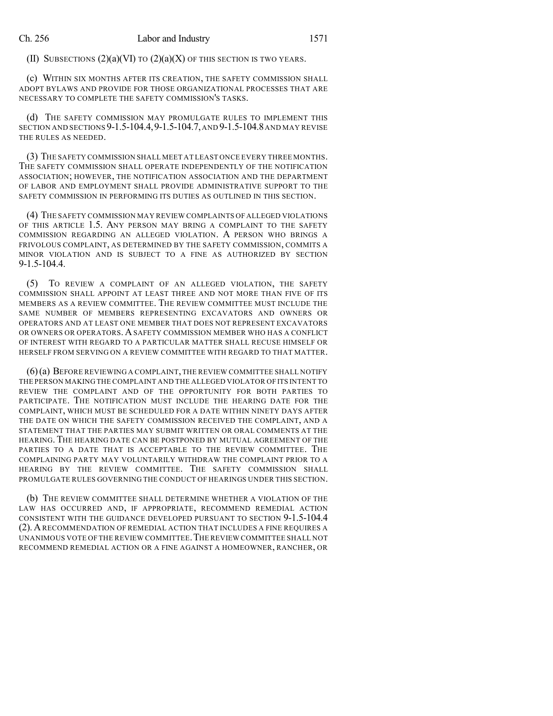(II) SUBSECTIONS  $(2)(a)(VI)$  to  $(2)(a)(X)$  of this section is two years.

(c) WITHIN SIX MONTHS AFTER ITS CREATION, THE SAFETY COMMISSION SHALL ADOPT BYLAWS AND PROVIDE FOR THOSE ORGANIZATIONAL PROCESSES THAT ARE NECESSARY TO COMPLETE THE SAFETY COMMISSION'S TASKS.

(d) THE SAFETY COMMISSION MAY PROMULGATE RULES TO IMPLEMENT THIS SECTION AND SECTIONS 9-1.5-104.4,9-1.5-104.7,AND 9-1.5-104.8AND MAY REVISE THE RULES AS NEEDED.

(3) THE SAFETY COMMISSION SHALL MEET AT LEAST ONCE EVERY THREE MONTHS. THE SAFETY COMMISSION SHALL OPERATE INDEPENDENTLY OF THE NOTIFICATION ASSOCIATION; HOWEVER, THE NOTIFICATION ASSOCIATION AND THE DEPARTMENT OF LABOR AND EMPLOYMENT SHALL PROVIDE ADMINISTRATIVE SUPPORT TO THE SAFETY COMMISSION IN PERFORMING ITS DUTIES AS OUTLINED IN THIS SECTION.

(4) THE SAFETY COMMISSION MAY REVIEW COMPLAINTS OF ALLEGED VIOLATIONS OF THIS ARTICLE 1.5. ANY PERSON MAY BRING A COMPLAINT TO THE SAFETY COMMISSION REGARDING AN ALLEGED VIOLATION. A PERSON WHO BRINGS A FRIVOLOUS COMPLAINT, AS DETERMINED BY THE SAFETY COMMISSION, COMMITS A MINOR VIOLATION AND IS SUBJECT TO A FINE AS AUTHORIZED BY SECTION 9-1.5-104.4.

(5) TO REVIEW A COMPLAINT OF AN ALLEGED VIOLATION, THE SAFETY COMMISSION SHALL APPOINT AT LEAST THREE AND NOT MORE THAN FIVE OF ITS MEMBERS AS A REVIEW COMMITTEE. THE REVIEW COMMITTEE MUST INCLUDE THE SAME NUMBER OF MEMBERS REPRESENTING EXCAVATORS AND OWNERS OR OPERATORS AND AT LEAST ONE MEMBER THAT DOES NOT REPRESENT EXCAVATORS OR OWNERS OR OPERATORS. A SAFETY COMMISSION MEMBER WHO HAS A CONFLICT OF INTEREST WITH REGARD TO A PARTICULAR MATTER SHALL RECUSE HIMSELF OR HERSELF FROM SERVING ON A REVIEW COMMITTEE WITH REGARD TO THAT MATTER.

(6)(a) BEFORE REVIEWING A COMPLAINT,THE REVIEW COMMITTEE SHALL NOTIFY THE PERSON MAKING THE COMPLAINT AND THE ALLEGED VIOLATOR OF ITS INTENT TO REVIEW THE COMPLAINT AND OF THE OPPORTUNITY FOR BOTH PARTIES TO PARTICIPATE. THE NOTIFICATION MUST INCLUDE THE HEARING DATE FOR THE COMPLAINT, WHICH MUST BE SCHEDULED FOR A DATE WITHIN NINETY DAYS AFTER THE DATE ON WHICH THE SAFETY COMMISSION RECEIVED THE COMPLAINT, AND A STATEMENT THAT THE PARTIES MAY SUBMIT WRITTEN OR ORAL COMMENTS AT THE HEARING. THE HEARING DATE CAN BE POSTPONED BY MUTUAL AGREEMENT OF THE PARTIES TO A DATE THAT IS ACCEPTABLE TO THE REVIEW COMMITTEE. THE COMPLAINING PARTY MAY VOLUNTARILY WITHDRAW THE COMPLAINT PRIOR TO A HEARING BY THE REVIEW COMMITTEE. THE SAFETY COMMISSION SHALL PROMULGATE RULES GOVERNING THE CONDUCT OF HEARINGS UNDER THIS SECTION.

(b) THE REVIEW COMMITTEE SHALL DETERMINE WHETHER A VIOLATION OF THE LAW HAS OCCURRED AND, IF APPROPRIATE, RECOMMEND REMEDIAL ACTION CONSISTENT WITH THE GUIDANCE DEVELOPED PURSUANT TO SECTION 9-1.5-104.4 (2).ARECOMMENDATION OF REMEDIAL ACTION THAT INCLUDES A FINE REQUIRES A UNANIMOUS VOTE OF THE REVIEW COMMITTEE. THE REVIEW COMMITTEE SHALL NOT RECOMMEND REMEDIAL ACTION OR A FINE AGAINST A HOMEOWNER, RANCHER, OR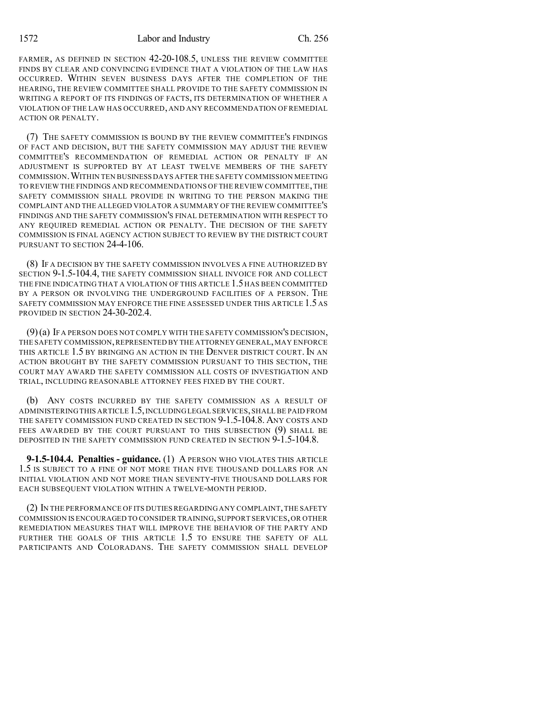FARMER, AS DEFINED IN SECTION 42-20-108.5, UNLESS THE REVIEW COMMITTEE FINDS BY CLEAR AND CONVINCING EVIDENCE THAT A VIOLATION OF THE LAW HAS OCCURRED. WITHIN SEVEN BUSINESS DAYS AFTER THE COMPLETION OF THE HEARING, THE REVIEW COMMITTEE SHALL PROVIDE TO THE SAFETY COMMISSION IN WRITING A REPORT OF ITS FINDINGS OF FACTS, ITS DETERMINATION OF WHETHER A VIOLATION OF THE LAW HAS OCCURRED, AND ANY RECOMMENDATION OF REMEDIAL ACTION OR PENALTY.

(7) THE SAFETY COMMISSION IS BOUND BY THE REVIEW COMMITTEE'S FINDINGS OF FACT AND DECISION, BUT THE SAFETY COMMISSION MAY ADJUST THE REVIEW COMMITTEE'S RECOMMENDATION OF REMEDIAL ACTION OR PENALTY IF AN ADJUSTMENT IS SUPPORTED BY AT LEAST TWELVE MEMBERS OF THE SAFETY COMMISSION.WITHIN TEN BUSINESS DAYS AFTER THE SAFETY COMMISSION MEETING TO REVIEW THE FINDINGS AND RECOMMENDATIONS OF THE REVIEW COMMITTEE,THE SAFETY COMMISSION SHALL PROVIDE IN WRITING TO THE PERSON MAKING THE COMPLAINT AND THE ALLEGED VIOLATOR A SUMMARY OF THE REVIEW COMMITTEE'S FINDINGS AND THE SAFETY COMMISSION'S FINAL DETERMINATION WITH RESPECT TO ANY REQUIRED REMEDIAL ACTION OR PENALTY. THE DECISION OF THE SAFETY COMMISSION IS FINAL AGENCY ACTION SUBJECT TO REVIEW BY THE DISTRICT COURT PURSUANT TO SECTION 24-4-106.

(8) IF A DECISION BY THE SAFETY COMMISSION INVOLVES A FINE AUTHORIZED BY SECTION 9-1.5-104.4, THE SAFETY COMMISSION SHALL INVOICE FOR AND COLLECT THE FINE INDICATING THAT A VIOLATION OF THIS ARTICLE 1.5 HAS BEEN COMMITTED BY A PERSON OR INVOLVING THE UNDERGROUND FACILITIES OF A PERSON. THE SAFETY COMMISSION MAY ENFORCE THE FINE ASSESSED UNDER THIS ARTICLE 1.5 AS PROVIDED IN SECTION 24-30-202.4.

(9)(a) IF A PERSON DOES NOT COMPLY WITH THE SAFETY COMMISSION'S DECISION, THE SAFETY COMMISSION,REPRESENTED BY THE ATTORNEY GENERAL,MAY ENFORCE THIS ARTICLE 1.5 BY BRINGING AN ACTION IN THE DENVER DISTRICT COURT. IN AN ACTION BROUGHT BY THE SAFETY COMMISSION PURSUANT TO THIS SECTION, THE COURT MAY AWARD THE SAFETY COMMISSION ALL COSTS OF INVESTIGATION AND TRIAL, INCLUDING REASONABLE ATTORNEY FEES FIXED BY THE COURT.

(b) ANY COSTS INCURRED BY THE SAFETY COMMISSION AS A RESULT OF ADMINISTERING THIS ARTICLE 1.5,INCLUDINGLEGAL SERVICES,SHALL BE PAID FROM THE SAFETY COMMISSION FUND CREATED IN SECTION  $9-1.5-104.8$ . Any costs and FEES AWARDED BY THE COURT PURSUANT TO THIS SUBSECTION (9) SHALL BE DEPOSITED IN THE SAFETY COMMISSION FUND CREATED IN SECTION 9-1.5-104.8.

**9-1.5-104.4. Penalties - guidance.** (1) A PERSON WHO VIOLATES THIS ARTICLE 1.5 IS SUBJECT TO A FINE OF NOT MORE THAN FIVE THOUSAND DOLLARS FOR AN INITIAL VIOLATION AND NOT MORE THAN SEVENTY-FIVE THOUSAND DOLLARS FOR EACH SUBSEQUENT VIOLATION WITHIN A TWELVE-MONTH PERIOD.

(2) IN THE PERFORMANCE OF ITS DUTIES REGARDING ANY COMPLAINT,THE SAFETY COMMISSION IS ENCOURAGED TO CONSIDER TRAINING,SUPPORT SERVICES,OR OTHER REMEDIATION MEASURES THAT WILL IMPROVE THE BEHAVIOR OF THE PARTY AND FURTHER THE GOALS OF THIS ARTICLE 1.5 TO ENSURE THE SAFETY OF ALL PARTICIPANTS AND COLORADANS. THE SAFETY COMMISSION SHALL DEVELOP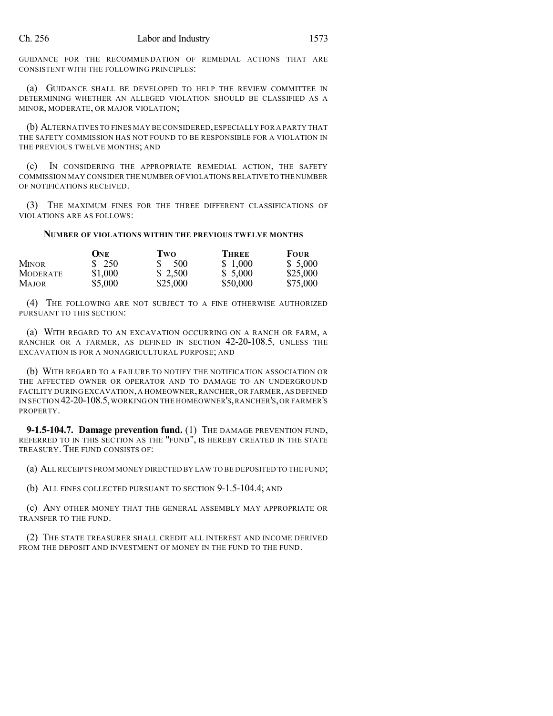GUIDANCE FOR THE RECOMMENDATION OF REMEDIAL ACTIONS THAT ARE CONSISTENT WITH THE FOLLOWING PRINCIPLES:

(a) GUIDANCE SHALL BE DEVELOPED TO HELP THE REVIEW COMMITTEE IN DETERMINING WHETHER AN ALLEGED VIOLATION SHOULD BE CLASSIFIED AS A MINOR, MODERATE, OR MAJOR VIOLATION;

(b) ALTERNATIVES TO FINES MAY BE CONSIDERED,ESPECIALLY FOR A PARTY THAT THE SAFETY COMMISSION HAS NOT FOUND TO BE RESPONSIBLE FOR A VIOLATION IN THE PREVIOUS TWELVE MONTHS; AND

(c) IN CONSIDERING THE APPROPRIATE REMEDIAL ACTION, THE SAFETY COMMISSION MAY CONSIDER THE NUMBER OF VIOLATIONS RELATIVE TO THE NUMBER OF NOTIFICATIONS RECEIVED.

(3) THE MAXIMUM FINES FOR THE THREE DIFFERENT CLASSIFICATIONS OF VIOLATIONS ARE AS FOLLOWS:

### **NUMBER OF VIOLATIONS WITHIN THE PREVIOUS TWELVE MONTHS**

|                 | <b>ONE</b> | Two      | <b>THREE</b> | <b>FOUR</b> |
|-----------------|------------|----------|--------------|-------------|
| <b>MINOR</b>    | \$250      | \$500    | \$1,000      | \$5,000     |
| <b>MODERATE</b> | \$1,000    | \$2,500  | \$ 5,000     | \$25,000    |
| <b>MAJOR</b>    | \$5,000    | \$25,000 | \$50,000     | \$75,000    |

(4) THE FOLLOWING ARE NOT SUBJECT TO A FINE OTHERWISE AUTHORIZED PURSUANT TO THIS SECTION:

(a) WITH REGARD TO AN EXCAVATION OCCURRING ON A RANCH OR FARM, A RANCHER OR A FARMER, AS DEFINED IN SECTION 42-20-108.5, UNLESS THE EXCAVATION IS FOR A NONAGRICULTURAL PURPOSE; AND

(b) WITH REGARD TO A FAILURE TO NOTIFY THE NOTIFICATION ASSOCIATION OR THE AFFECTED OWNER OR OPERATOR AND TO DAMAGE TO AN UNDERGROUND FACILITY DURING EXCAVATION, A HOMEOWNER,RANCHER, OR FARMER, AS DEFINED IN SECTION 42-20-108.5,WORKING ON THE HOMEOWNER'S,RANCHER'S,OR FARMER'S PROPERTY.

**9-1.5-104.7. Damage prevention fund.** (1) THE DAMAGE PREVENTION FUND, REFERRED TO IN THIS SECTION AS THE "FUND", IS HEREBY CREATED IN THE STATE TREASURY. THE FUND CONSISTS OF:

(a) ALL RECEIPTS FROM MONEY DIRECTED BY LAW TO BE DEPOSITED TO THE FUND;

(b) ALL FINES COLLECTED PURSUANT TO SECTION 9-1.5-104.4; AND

(c) ANY OTHER MONEY THAT THE GENERAL ASSEMBLY MAY APPROPRIATE OR TRANSFER TO THE FUND.

(2) THE STATE TREASURER SHALL CREDIT ALL INTEREST AND INCOME DERIVED FROM THE DEPOSIT AND INVESTMENT OF MONEY IN THE FUND TO THE FUND.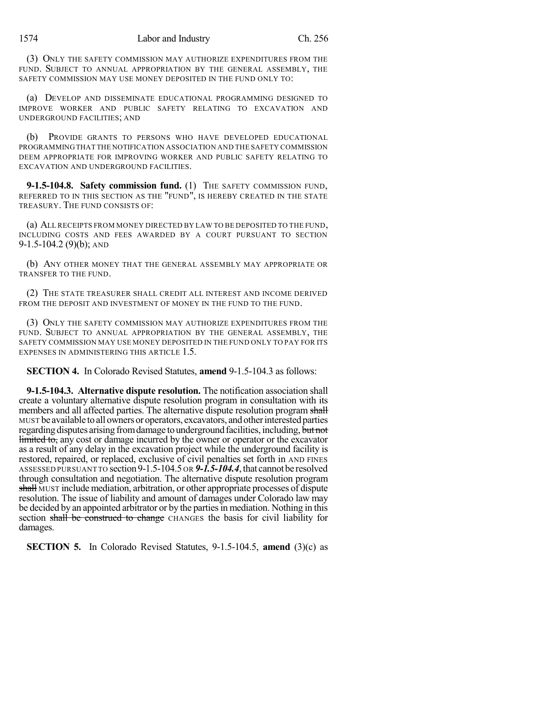(3) ONLY THE SAFETY COMMISSION MAY AUTHORIZE EXPENDITURES FROM THE FUND. SUBJECT TO ANNUAL APPROPRIATION BY THE GENERAL ASSEMBLY, THE SAFETY COMMISSION MAY USE MONEY DEPOSITED IN THE FUND ONLY TO:

(a) DEVELOP AND DISSEMINATE EDUCATIONAL PROGRAMMING DESIGNED TO IMPROVE WORKER AND PUBLIC SAFETY RELATING TO EXCAVATION AND UNDERGROUND FACILITIES; AND

(b) PROVIDE GRANTS TO PERSONS WHO HAVE DEVELOPED EDUCATIONAL PROGRAMMINGTHAT THE NOTIFICATION ASSOCIATION AND THE SAFETY COMMISSION DEEM APPROPRIATE FOR IMPROVING WORKER AND PUBLIC SAFETY RELATING TO EXCAVATION AND UNDERGROUND FACILITIES.

**9-1.5-104.8. Safety commission fund.** (1) THE SAFETY COMMISSION FUND, REFERRED TO IN THIS SECTION AS THE "FUND", IS HEREBY CREATED IN THE STATE TREASURY. THE FUND CONSISTS OF:

(a) ALL RECEIPTS FROM MONEY DIRECTED BY LAW TO BE DEPOSITED TO THE FUND, INCLUDING COSTS AND FEES AWARDED BY A COURT PURSUANT TO SECTION 9-1.5-104.2 (9)(b); AND

(b) ANY OTHER MONEY THAT THE GENERAL ASSEMBLY MAY APPROPRIATE OR TRANSFER TO THE FUND.

(2) THE STATE TREASURER SHALL CREDIT ALL INTEREST AND INCOME DERIVED FROM THE DEPOSIT AND INVESTMENT OF MONEY IN THE FUND TO THE FUND.

(3) ONLY THE SAFETY COMMISSION MAY AUTHORIZE EXPENDITURES FROM THE FUND. SUBJECT TO ANNUAL APPROPRIATION BY THE GENERAL ASSEMBLY, THE SAFETY COMMISSION MAY USE MONEY DEPOSITED IN THE FUND ONLY TO PAY FOR ITS EXPENSES IN ADMINISTERING THIS ARTICLE 1.5.

**SECTION 4.** In Colorado Revised Statutes, **amend** 9-1.5-104.3 as follows:

**9-1.5-104.3. Alternative dispute resolution.** The notification association shall create a voluntary alternative dispute resolution program in consultation with its members and all affected parties. The alternative dispute resolution program shall MUST be available toall owners or operators, excavators, andotherinterestedparties regarding disputes arising from damage to underground facilities, including, but not limited to, any cost or damage incurred by the owner or operator or the excavator as a result of any delay in the excavation project while the underground facility is restored, repaired, or replaced, exclusive of civil penalties set forth in AND FINES ASSESSED PURSUANT TO section 9-1.5-104.5 OR 9-1.5-104.4, that cannot be resolved through consultation and negotiation. The alternative dispute resolution program shall MUST include mediation, arbitration, or other appropriate processes of dispute resolution. The issue of liability and amount of damages under Colorado law may be decided by an appointed arbitrator or by the partiesin mediation. Nothing in this section shall be construed to change CHANGES the basis for civil liability for damages.

**SECTION 5.** In Colorado Revised Statutes, 9-1.5-104.5, **amend** (3)(c) as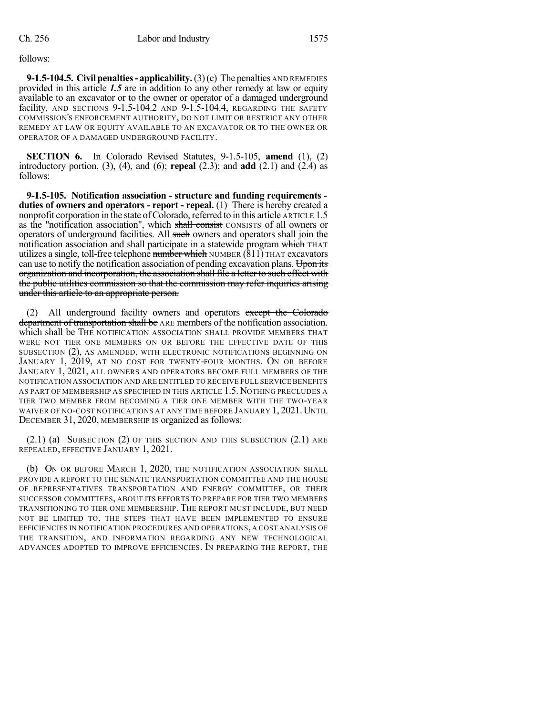follows:

**9-1.5-104.5. Civilpenalties- applicability.**(3)(c) The penalties AND REMEDIES provided in this article *1.5* are in addition to any other remedy at law or equity available to an excavator or to the owner or operator of a damaged underground facility, AND SECTIONS 9-1.5-104.2 AND 9-1.5-104.4, REGARDING THE SAFETY COMMISSION'S ENFORCEMENT AUTHORITY, DO NOT LIMIT OR RESTRICT ANY OTHER REMEDY AT LAW OR EQUITY AVAILABLE TO AN EXCAVATOR OR TO THE OWNER OR OPERATOR OF A DAMAGED UNDERGROUND FACILITY.

**SECTION 6.** In Colorado Revised Statutes, 9-1.5-105, **amend** (1), (2) introductory portion, (3), (4), and (6); **repeal** (2.3); and **add** (2.1) and (2.4) as follows:

**9-1.5-105. Notification association - structure and funding requirements duties of owners and operators - report - repeal.** (1) There is hereby created a nonprofit corporation in the state of Colorado, referred to in this article ARTICLE 1.5 as the "notification association", which shall consist CONSISTS of all owners or operators of underground facilities. All such owners and operators shall join the notification association and shall participate in a statewide program which THAT utilizes a single, toll-free telephone number which NUMBER  $(811)$  THAT excavators can use to notify the notification association of pending excavation plans. Upon its organization and incorporation, the association shall file a letter to such effect with the public utilities commission so that the commission may refer inquiries arising under this article to an appropriate person.

(2) All underground facility owners and operators except the Colorado department of transportation shall be ARE members of the notification association. which shall be THE NOTIFICATION ASSOCIATION SHALL PROVIDE MEMBERS THAT WERE NOT TIER ONE MEMBERS ON OR BEFORE THE EFFECTIVE DATE OF THIS SUBSECTION (2), AS AMENDED, WITH ELECTRONIC NOTIFICATIONS BEGINNING ON JANUARY 1, 2019, AT NO COST FOR TWENTY-FOUR MONTHS. ON OR BEFORE JANUARY 1, 2021, ALL OWNERS AND OPERATORS BECOME FULL MEMBERS OF THE NOTIFICATION ASSOCIATION AND ARE ENTITLED TO RECEIVE FULL SERVICE BENEFITS AS PART OF MEMBERSHIP AS SPECIFIED IN THIS ARTICLE 1.5. NOTHING PRECLUDES A TIER TWO MEMBER FROM BECOMING A TIER ONE MEMBER WITH THE TWO-YEAR WAIVER OF NO-COST NOTIFICATIONS AT ANY TIME BEFORE JANUARY 1, 2021. UNTIL DECEMBER 31, 2020, MEMBERSHIP IS organized as follows:

 $(2.1)$  (a) SUBSECTION (2) OF THIS SECTION AND THIS SUBSECTION  $(2.1)$  ARE REPEALED, EFFECTIVE JANUARY 1, 2021.

(b) ON OR BEFORE MARCH 1, 2020, THE NOTIFICATION ASSOCIATION SHALL PROVIDE A REPORT TO THE SENATE TRANSPORTATION COMMITTEE AND THE HOUSE OF REPRESENTATIVES TRANSPORTATION AND ENERGY COMMITTEE, OR THEIR SUCCESSOR COMMITTEES, ABOUT ITS EFFORTS TO PREPARE FOR TIER TWO MEMBERS TRANSITIONING TO TIER ONE MEMBERSHIP. THE REPORT MUST INCLUDE, BUT NEED NOT BE LIMITED TO, THE STEPS THAT HAVE BEEN IMPLEMENTED TO ENSURE EFFICIENCIES IN NOTIFICATION PROCEDURES AND OPERATIONS, A COST ANALYSIS OF THE TRANSITION, AND INFORMATION REGARDING ANY NEW TECHNOLOGICAL ADVANCES ADOPTED TO IMPROVE EFFICIENCIES. IN PREPARING THE REPORT, THE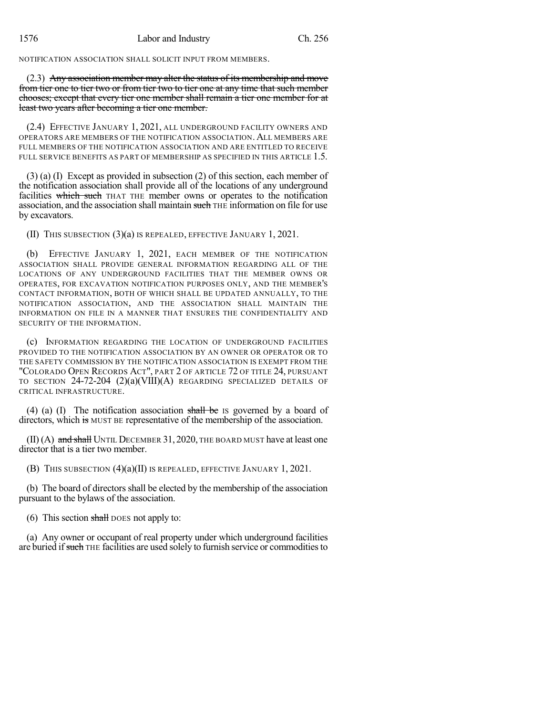NOTIFICATION ASSOCIATION SHALL SOLICIT INPUT FROM MEMBERS.

(2.3) Any association member may alter the status of its membership and move from tier one to tier two or from tier two to tier one at any time that such member chooses; except that every tier one member shall remain a tier one member for at least two years after becoming a tier one member.

(2.4) EFFECTIVE JANUARY 1, 2021, ALL UNDERGROUND FACILITY OWNERS AND OPERATORS ARE MEMBERS OF THE NOTIFICATION ASSOCIATION. ALL MEMBERS ARE FULL MEMBERS OF THE NOTIFICATION ASSOCIATION AND ARE ENTITLED TO RECEIVE FULL SERVICE BENEFITS AS PART OF MEMBERSHIP AS SPECIFIED IN THIS ARTICLE 1.5.

(3) (a) (I) Except as provided in subsection (2) of this section, each member of the notification association shall provide all of the locations of any underground facilities which such THAT THE member owns or operates to the notification association, and the association shall maintain such THE information on file for use by excavators.

(II) THIS SUBSECTION (3)(a) IS REPEALED, EFFECTIVE JANUARY 1, 2021.

(b) EFFECTIVE JANUARY 1, 2021, EACH MEMBER OF THE NOTIFICATION ASSOCIATION SHALL PROVIDE GENERAL INFORMATION REGARDING ALL OF THE LOCATIONS OF ANY UNDERGROUND FACILITIES THAT THE MEMBER OWNS OR OPERATES, FOR EXCAVATION NOTIFICATION PURPOSES ONLY, AND THE MEMBER'S CONTACT INFORMATION, BOTH OF WHICH SHALL BE UPDATED ANNUALLY, TO THE NOTIFICATION ASSOCIATION, AND THE ASSOCIATION SHALL MAINTAIN THE INFORMATION ON FILE IN A MANNER THAT ENSURES THE CONFIDENTIALITY AND SECURITY OF THE INFORMATION.

(c) INFORMATION REGARDING THE LOCATION OF UNDERGROUND FACILITIES PROVIDED TO THE NOTIFICATION ASSOCIATION BY AN OWNER OR OPERATOR OR TO THE SAFETY COMMISSION BY THE NOTIFICATION ASSOCIATION IS EXEMPT FROM THE "COLORADO OPEN RECORDS ACT", PART 2 OF ARTICLE 72 OF TITLE 24, PURSUANT TO SECTION  $24$ -72-204  $(2)(a)(VIII)(A)$  regarding specialized details of CRITICAL INFRASTRUCTURE.

(4) (a) (I) The notification association shall be IS governed by a board of directors, which is MUST BE representative of the membership of the association.

 $(II)$  (A) and shall UNTIL DECEMBER 31, 2020, THE BOARD MUST have at least one director that is a tier two member.

(B) THIS SUBSECTION (4)(a)(II) IS REPEALED, EFFECTIVE JANUARY 1, 2021.

(b) The board of directors shall be elected by the membership of the association pursuant to the bylaws of the association.

(6) This section  $\frac{\text{shall}}{\text{BoES}}$  not apply to:

(a) Any owner or occupant of real property under which underground facilities are buried if such THE facilities are used solely to furnish service or commodities to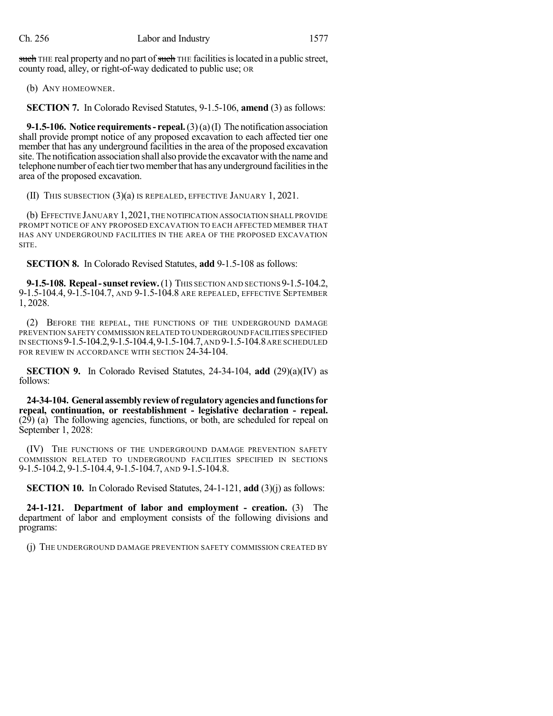such THE real property and no part of such THE facilities is located in a public street, county road, alley, or right-of-way dedicated to public use; OR

(b) ANY HOMEOWNER.

**SECTION 7.** In Colorado Revised Statutes, 9-1.5-106, **amend** (3) as follows:

**9-1.5-106. Notice requirements- repeal.**(3)(a)(I) The notification association shall provide prompt notice of any proposed excavation to each affected tier one member that has any underground facilities in the area of the proposed excavation site. The notification association shall also provide the excavator with the name and telephone number of each tier two member that has any underground facilities in the area of the proposed excavation.

(II) THIS SUBSECTION (3)(a) IS REPEALED, EFFECTIVE JANUARY 1, 2021.

(b) EFFECTIVE JANUARY 1,2021,THE NOTIFICATION ASSOCIATION SHALL PROVIDE PROMPT NOTICE OF ANY PROPOSED EXCAVATION TO EACH AFFECTED MEMBER THAT HAS ANY UNDERGROUND FACILITIES IN THE AREA OF THE PROPOSED EXCAVATION SITE.

**SECTION 8.** In Colorado Revised Statutes, **add** 9-1.5-108 as follows:

**9-1.5-108. Repeal-sunset review.**(1) THIS SECTION AND SECTIONS 9-1.5-104.2, 9-1.5-104.4, 9-1.5-104.7, AND 9-1.5-104.8 ARE REPEALED, EFFECTIVE SEPTEMBER 1, 2028.

(2) BEFORE THE REPEAL, THE FUNCTIONS OF THE UNDERGROUND DAMAGE PREVENTION SAFETY COMMISSION RELATED TO UNDERGROUND FACILITIES SPECIFIED IN SECTIONS 9-1.5-104.2,9-1.5-104.4,9-1.5-104.7,AND 9-1.5-104.8ARE SCHEDULED FOR REVIEW IN ACCORDANCE WITH SECTION 24-34-104.

**SECTION 9.** In Colorado Revised Statutes, 24-34-104, **add** (29)(a)(IV) as follows:

**24-34-104. Generalassemblyreviewof regulatoryagenciesandfunctionsfor repeal, continuation, or reestablishment - legislative declaration - repeal.** (29) (a) The following agencies, functions, or both, are scheduled for repeal on September 1, 2028:

(IV) THE FUNCTIONS OF THE UNDERGROUND DAMAGE PREVENTION SAFETY COMMISSION RELATED TO UNDERGROUND FACILITIES SPECIFIED IN SECTIONS 9-1.5-104.2, 9-1.5-104.4, 9-1.5-104.7, AND 9-1.5-104.8.

**SECTION 10.** In Colorado Revised Statutes, 24-1-121, **add** (3)(j) as follows:

**24-1-121. Department of labor and employment - creation.** (3) The department of labor and employment consists of the following divisions and programs:

(j) THE UNDERGROUND DAMAGE PREVENTION SAFETY COMMISSION CREATED BY